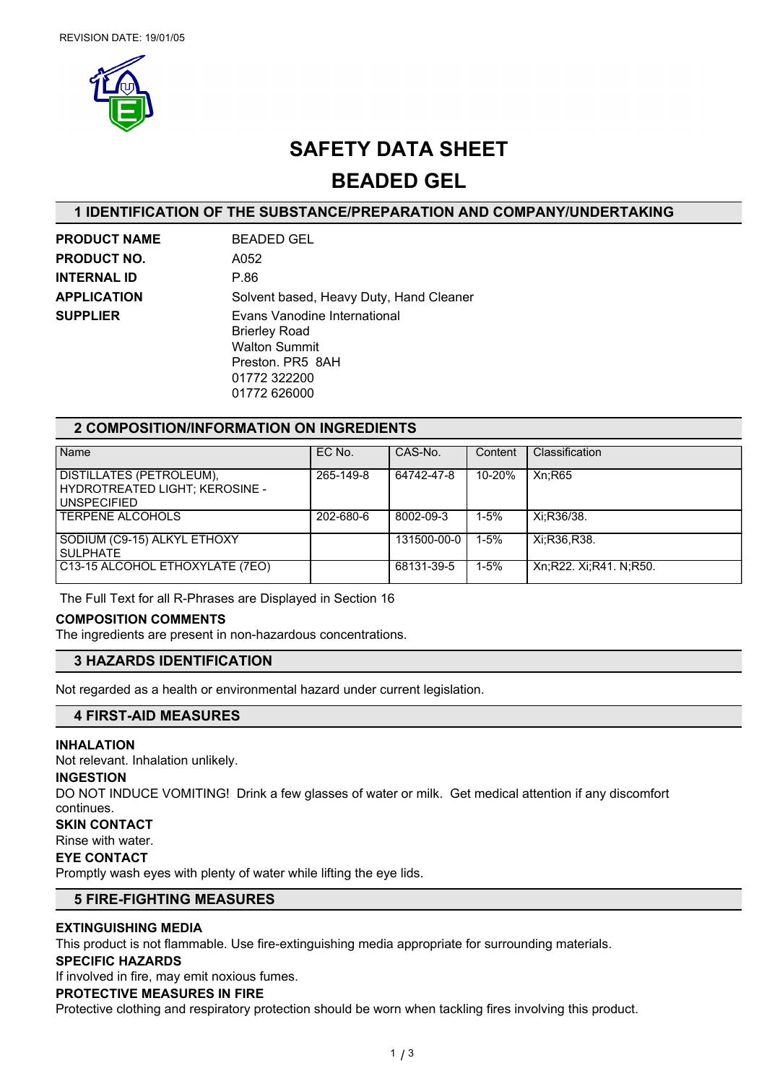

# **SAFETY DATA SHEET**

**BEADED GEL**

## **1 IDENTIFICATION OF THE SUBSTANCE/PREPARATION AND COMPANY/UNDERTAKING**

**PRODUCT NAME** BEADED GEL **PRODUCT NO.** A052 **INTERNAL ID** P.86

**APPLICATION** Solvent based, Heavy Duty, Hand Cleaner **SUPPLIER** Evans Vanodine International Brierley Road Walton Summit Preston. PR5 8AH 01772 322200 01772 626000

## **2 COMPOSITION/INFORMATION ON INGREDIENTS**

| Name                            | EC No.    | CAS-No.     | Content  | Classification         |
|---------------------------------|-----------|-------------|----------|------------------------|
|                                 |           |             |          |                        |
| DISTILLATES (PETROLEUM),        | 265-149-8 | 64742-47-8  | 10-20%   | Xn:R65                 |
| HYDROTREATED LIGHT; KEROSINE -  |           |             |          |                        |
|                                 |           |             |          |                        |
| UNSPECIFIED                     |           |             |          |                        |
| <b>TERPENE ALCOHOLS</b>         | 202-680-6 | 8002-09-3   | $1 - 5%$ | Xi:R36/38.             |
|                                 |           |             |          |                        |
| SODIUM (C9-15) ALKYL ETHOXY     |           | 131500-00-0 | $1 - 5%$ | Xi:R36,R38.            |
| l SULPHATE                      |           |             |          |                        |
|                                 |           |             |          |                        |
| C13-15 ALCOHOL ETHOXYLATE (7EO) |           | 68131-39-5  | $1 - 5%$ | Xn;R22. Xi;R41. N;R50. |
|                                 |           |             |          |                        |

The Full Text for all R-Phrases are Displayed in Section 16

## **COMPOSITION COMMENTS**

The ingredients are present in non-hazardous concentrations.

## **3 HAZARDS IDENTIFICATION**

Not regarded as a health or environmental hazard under current legislation.

# **4 FIRST-AID MEASURES**

## **INHALATION**

Not relevant. Inhalation unlikely.

#### **INGESTION**

DO NOT INDUCE VOMITING! Drink a few glasses of water or milk. Get medical attention if any discomfort continues.

## **SKIN CONTACT**

Rinse with water.

# **EYE CONTACT**

Promptly wash eyes with plenty of water while lifting the eye lids.

## **5 FIRE-FIGHTING MEASURES**

## **EXTINGUISHING MEDIA**

This product is not flammable. Use fire-extinguishing media appropriate for surrounding materials.

#### **SPECIFIC HAZARDS**

If involved in fire, may emit noxious fumes.

#### **PROTECTIVE MEASURES IN FIRE**

Protective clothing and respiratory protection should be worn when tackling fires involving this product.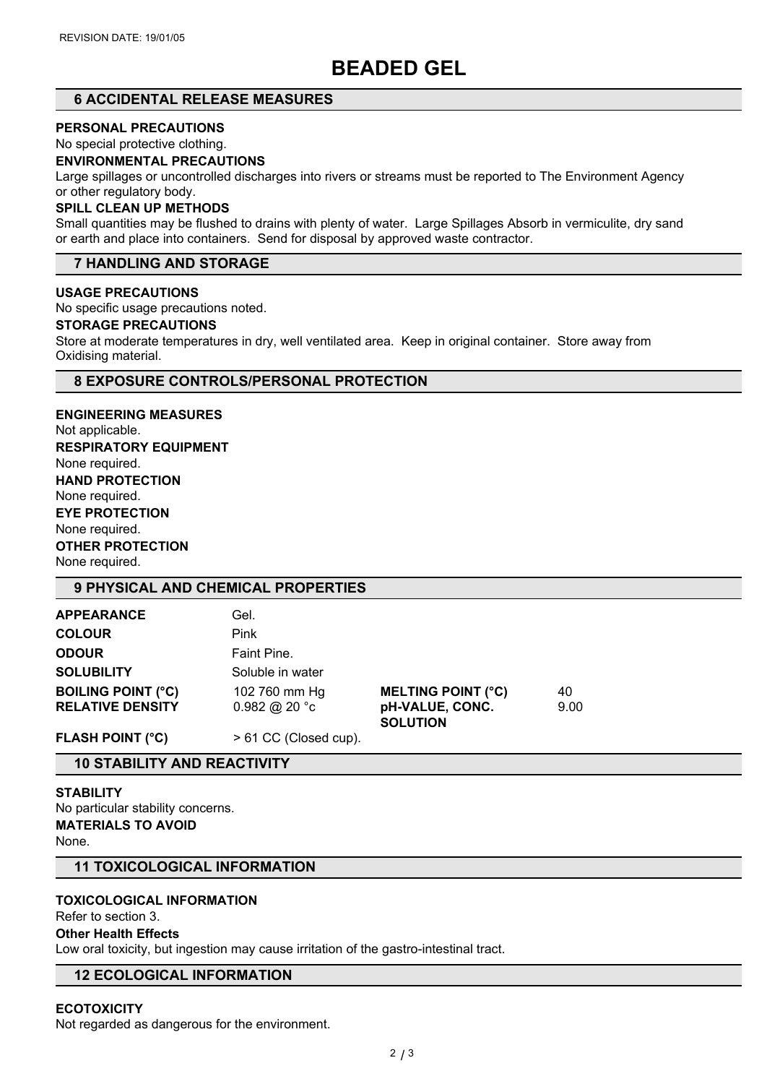# **BEADED GEL**

# **6 ACCIDENTAL RELEASE MEASURES**

#### **PERSONAL PRECAUTIONS**

No special protective clothing.

## **ENVIRONMENTAL PRECAUTIONS**

Large spillages or uncontrolled discharges into rivers or streams must be reported to The Environment Agency or other regulatory body.

## **SPILL CLEAN UP METHODS**

Small quantities may be flushed to drains with plenty of water. Large Spillages Absorb in vermiculite, dry sand or earth and place into containers. Send for disposal by approved waste contractor.

## **7 HANDLING AND STORAGE**

#### **USAGE PRECAUTIONS**

No specific usage precautions noted.

#### **STORAGE PRECAUTIONS**

Store at moderate temperatures in dry, well ventilated area. Keep in original container. Store away from Oxidising material.

## **8 EXPOSURE CONTROLS/PERSONAL PROTECTION**

**ENGINEERING MEASURES** Not applicable. **RESPIRATORY EQUIPMENT** None required. **HAND PROTECTION** None required. **EYE PROTECTION** None required. **OTHER PROTECTION** None required.

# **9 PHYSICAL AND CHEMICAL PROPERTIES**

| <b>APPEARANCE</b>         | Gel.                  |                                    |      |  |
|---------------------------|-----------------------|------------------------------------|------|--|
| <b>COLOUR</b>             | <b>Pink</b>           |                                    |      |  |
| <b>ODOUR</b>              | Faint Pine.           |                                    |      |  |
| <b>SOLUBILITY</b>         | Soluble in water      |                                    |      |  |
| <b>BOILING POINT (°C)</b> | 102 760 mm Hg         | <b>MELTING POINT (°C)</b>          | 40   |  |
| <b>RELATIVE DENSITY</b>   | 0.982 @ 20 °c         | pH-VALUE, CONC.<br><b>SOLUTION</b> | 9.00 |  |
| <b>FLASH POINT (°C)</b>   | > 61 CC (Closed cup). |                                    |      |  |

## **10 STABILITY AND REACTIVITY**

**STABILITY** No particular stability concerns. **MATERIALS TO AVOID** None.

## **11 TOXICOLOGICAL INFORMATION**

#### **TOXICOLOGICAL INFORMATION**

Refer to section 3.

## **Other Health Effects**

Low oral toxicity, but ingestion may cause irritation of the gastro-intestinal tract.

# **12 ECOLOGICAL INFORMATION**

## **ECOTOXICITY**

Not regarded as dangerous for the environment.